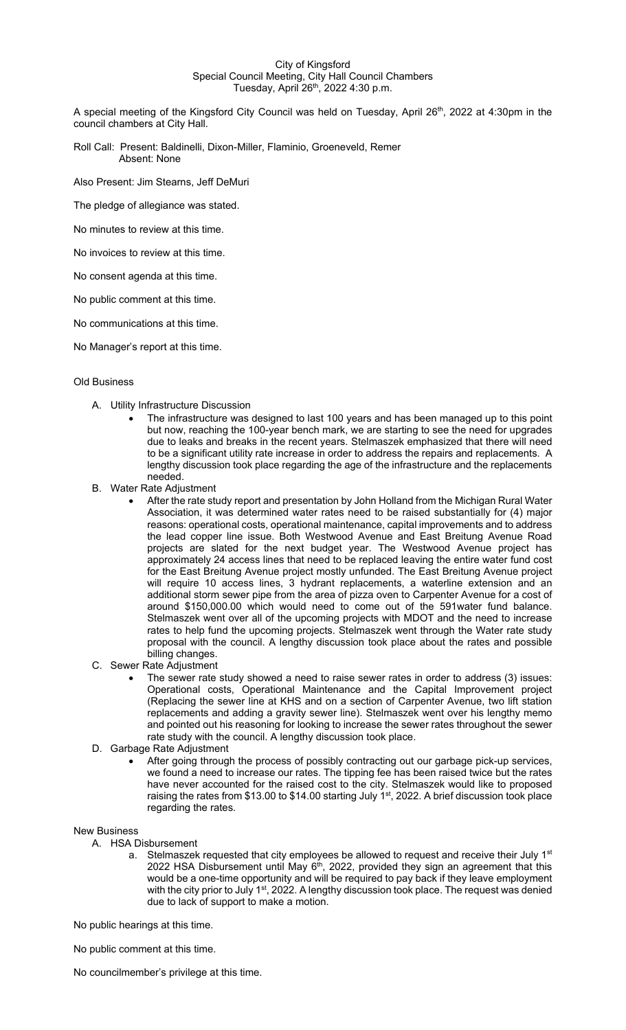## City of Kingsford Special Council Meeting, City Hall Council Chambers Tuesday, April 26<sup>th</sup>, 2022 4:30 p.m.

A special meeting of the Kingsford City Council was held on Tuesday, April 26th, 2022 at 4:30pm in the council chambers at City Hall.

Roll Call: Present: Baldinelli, Dixon-Miller, Flaminio, Groeneveld, Remer Absent: None

Also Present: Jim Stearns, Jeff DeMuri

The pledge of allegiance was stated.

No minutes to review at this time.

No invoices to review at this time.

No consent agenda at this time.

No public comment at this time.

No communications at this time.

No Manager's report at this time.

## Old Business

- A. Utility Infrastructure Discussion
	- The infrastructure was designed to last 100 years and has been managed up to this point but now, reaching the 100-year bench mark, we are starting to see the need for upgrades due to leaks and breaks in the recent years. Stelmaszek emphasized that there will need to be a significant utility rate increase in order to address the repairs and replacements. A lengthy discussion took place regarding the age of the infrastructure and the replacements needed.
- B. Water Rate Adjustment
	- After the rate study report and presentation by John Holland from the Michigan Rural Water Association, it was determined water rates need to be raised substantially for (4) major reasons: operational costs, operational maintenance, capital improvements and to address the lead copper line issue. Both Westwood Avenue and East Breitung Avenue Road projects are slated for the next budget year. The Westwood Avenue project has approximately 24 access lines that need to be replaced leaving the entire water fund cost for the East Breitung Avenue project mostly unfunded. The East Breitung Avenue project will require 10 access lines, 3 hydrant replacements, a waterline extension and an additional storm sewer pipe from the area of pizza oven to Carpenter Avenue for a cost of around \$150,000.00 which would need to come out of the 591water fund balance. Stelmaszek went over all of the upcoming projects with MDOT and the need to increase rates to help fund the upcoming projects. Stelmaszek went through the Water rate study proposal with the council. A lengthy discussion took place about the rates and possible billing changes.
- C. Sewer Rate Adjustment
	- The sewer rate study showed a need to raise sewer rates in order to address (3) issues: Operational costs, Operational Maintenance and the Capital Improvement project (Replacing the sewer line at KHS and on a section of Carpenter Avenue, two lift station replacements and adding a gravity sewer line). Stelmaszek went over his lengthy memo and pointed out his reasoning for looking to increase the sewer rates throughout the sewer rate study with the council. A lengthy discussion took place.
- D. Garbage Rate Adjustment
	- After going through the process of possibly contracting out our garbage pick-up services, we found a need to increase our rates. The tipping fee has been raised twice but the rates have never accounted for the raised cost to the city. Stelmaszek would like to proposed raising the rates from \$13.00 to \$14.00 starting July 1<sup>st</sup>, 2022. A brief discussion took place regarding the rates.

## New Business

- A. HSA Disbursement
	- a. Stelmaszek requested that city employees be allowed to request and receive their July 1<sup>st</sup> 2022 HSA Disbursement until May  $6<sup>th</sup>$ , 2022, provided they sign an agreement that this would be a one-time opportunity and will be required to pay back if they leave employment with the city prior to July 1<sup>st</sup>, 2022. A lengthy discussion took place. The request was denied due to lack of support to make a motion.

No public hearings at this time.

No public comment at this time.

No councilmember's privilege at this time.